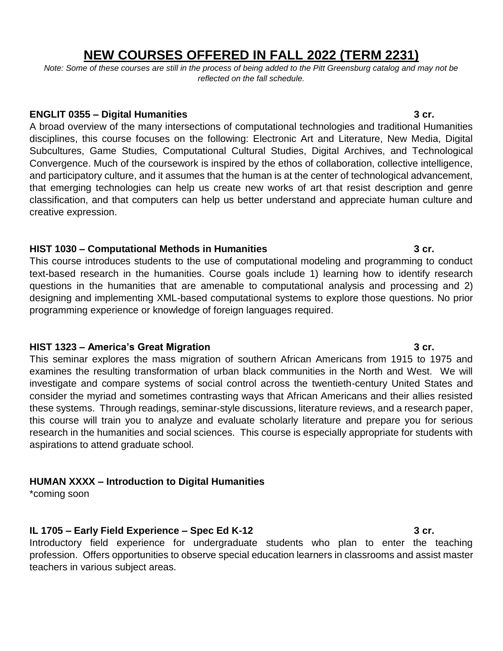# **NEW COURSES OFFERED IN FALL 2022 (TERM 2231)**

*Note: Some of these courses are still in the process of being added to the Pitt Greensburg catalog and may not be reflected on the fall schedule.*

#### **ENGLIT 0355 – Digital Humanities 3 cr.**

A broad overview of the many intersections of computational technologies and traditional Humanities disciplines, this course focuses on the following: Electronic Art and Literature, New Media, Digital Subcultures, Game Studies, Computational Cultural Studies, Digital Archives, and Technological Convergence. Much of the coursework is inspired by the ethos of collaboration, collective intelligence, and participatory culture, and it assumes that the human is at the center of technological advancement, that emerging technologies can help us create new works of art that resist description and genre classification, and that computers can help us better understand and appreciate human culture and creative expression.

### **HIST 1030 – Computational Methods in Humanities 3 cr.**

This course introduces students to the use of computational modeling and programming to conduct text-based research in the humanities. Course goals include 1) learning how to identify research questions in the humanities that are amenable to computational analysis and processing and 2) designing and implementing XML-based computational systems to explore those questions. No prior programming experience or knowledge of foreign languages required.

### **HIST 1323 – America's Great Migration 3 cr.**

This seminar explores the mass migration of southern African Americans from 1915 to 1975 and examines the resulting transformation of urban black communities in the North and West. We will investigate and compare systems of social control across the twentieth-century United States and consider the myriad and sometimes contrasting ways that African Americans and their allies resisted these systems. Through readings, seminar-style discussions, literature reviews, and a research paper, this course will train you to analyze and evaluate scholarly literature and prepare you for serious research in the humanities and social sciences. This course is especially appropriate for students with aspirations to attend graduate school.

# **HUMAN XXXX – Introduction to Digital Humanities**

\*coming soon

# **IL 1705 – Early Field Experience – Spec Ed K-12 3 cr.**

Introductory field experience for undergraduate students who plan to enter the teaching profession. Offers opportunities to observe special education learners in classrooms and assist master teachers in various subject areas.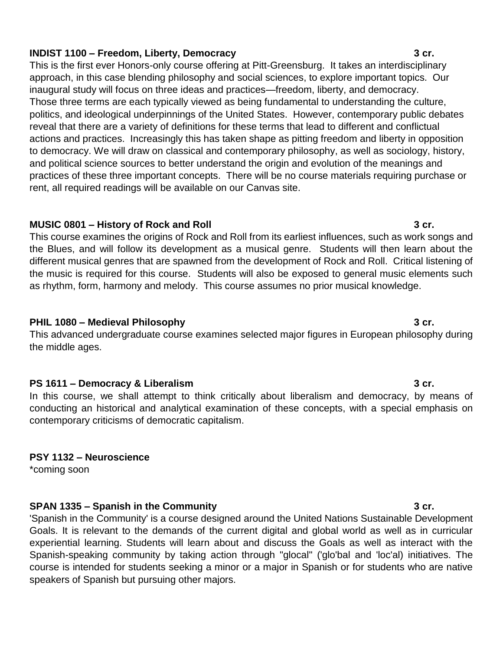# **INDIST 1100 – Freedom, Liberty, Democracy 3 cr.**

This is the first ever Honors-only course offering at Pitt-Greensburg. It takes an interdisciplinary approach, in this case blending philosophy and social sciences, to explore important topics. Our inaugural study will focus on three ideas and practices—freedom, liberty, and democracy. Those three terms are each typically viewed as being fundamental to understanding the culture, politics, and ideological underpinnings of the United States. However, contemporary public debates reveal that there are a variety of definitions for these terms that lead to different and conflictual actions and practices. Increasingly this has taken shape as pitting freedom and liberty in opposition to democracy. We will draw on classical and contemporary philosophy, as well as sociology, history, and political science sources to better understand the origin and evolution of the meanings and practices of these three important concepts. There will be no course materials requiring purchase or rent, all required readings will be available on our Canvas site.

#### **MUSIC 0801 – History of Rock and Roll 3 cr.**

This course examines the origins of Rock and Roll from its earliest influences, such as work songs and the Blues, and will follow its development as a musical genre. Students will then learn about the different musical genres that are spawned from the development of Rock and Roll. Critical listening of the music is required for this course. Students will also be exposed to general music elements such as rhythm, form, harmony and melody. This course assumes no prior musical knowledge.

### **PHIL 1080 – Medieval Philosophy 3 cr.**

This advanced undergraduate course examines selected major figures in European philosophy during the middle ages.

### **PS 1611 – Democracy & Liberalism 3 cr.**

In this course, we shall attempt to think critically about liberalism and democracy, by means of conducting an historical and analytical examination of these concepts, with a special emphasis on contemporary criticisms of democratic capitalism.

### **PSY 1132 – Neuroscience**

\*coming soon

### **SPAN 1335 – Spanish in the Community 3 cr.**

'Spanish in the Community' is a course designed around the United Nations Sustainable Development Goals. It is relevant to the demands of the current digital and global world as well as in curricular experiential learning. Students will learn about and discuss the Goals as well as interact with the Spanish-speaking community by taking action through "glocal" ('glo'bal and 'loc'al) initiatives. The course is intended for students seeking a minor or a major in Spanish or for students who are native speakers of Spanish but pursuing other majors.